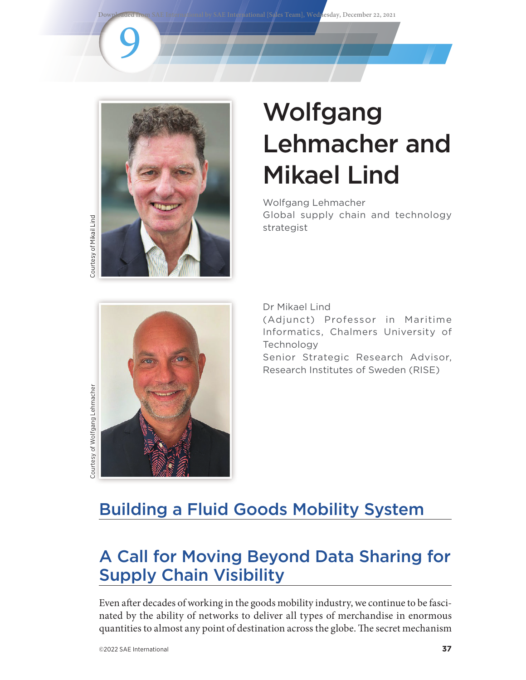Team], Wednesday, December 22, 2021



9

# Courtesy of Mikail Lind Courtesy of Mikail Lind Mikail

# Courtesy of Wolfgang Lehmacher Courtesy of Wolfgang Lehmacher

Dr Mikael Lind (Adjunct) Professor in Maritime Informatics, Chalmers University of Technology Senior Strategic Research Advisor, Research Institutes of Sweden (RISE)

Wolfgang

Mikael Lind

Wolfgang Lehmacher

strategist

Lehmacher and

Global supply chain and technology

# Building a Fluid Goods Mobility System

# A Call for Moving Beyond Data Sharing for Supply Chain Visibility

Even after decades of working in the goods mobility industry, we continue to be fascinated by the ability of networks to deliver all types of merchandise in enormous quantities to almost any point of destination across the globe. The secret mechanism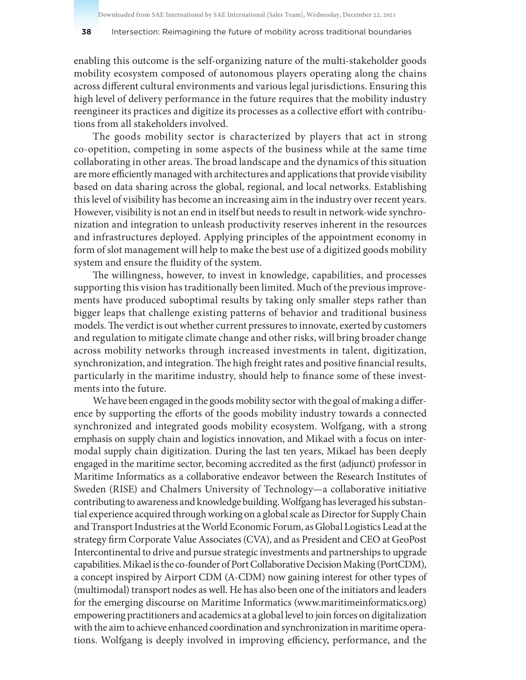enabling this outcome is the self-organizing nature of the multi-stakeholder goods mobility ecosystem composed of autonomous players operating along the chains across different cultural environments and various legal jurisdictions. Ensuring this high level of delivery performance in the future requires that the mobility industry reengineer its practices and digitize its processes as a collective effort with contributions from all stakeholders involved.

The goods mobility sector is characterized by players that act in strong co-opetition, competing in some aspects of the business while at the same time collaborating in other areas. The broad landscape and the dynamics of this situation are more efficiently managed with architectures and applications that provide visibility based on data sharing across the global, regional, and local networks. Establishing this level of visibility has become an increasing aim in the industry over recent years. However, visibility is not an end in itself but needs to result in network-wide synchronization and integration to unleash productivity reserves inherent in the resources and infrastructures deployed. Applying principles of the appointment economy in form of slot management will help to make the best use of a digitized goods mobility system and ensure the fluidity of the system.

The willingness, however, to invest in knowledge, capabilities, and processes supporting this vision has traditionally been limited. Much of the previous improvements have produced suboptimal results by taking only smaller steps rather than bigger leaps that challenge existing patterns of behavior and traditional business models. The verdict is out whether current pressures to innovate, exerted by customers and regulation to mitigate climate change and other risks, will bring broader change across mobility networks through increased investments in talent, digitization, synchronization, and integration. The high freight rates and positive financial results, particularly in the maritime industry, should help to finance some of these investments into the future.

We have been engaged in the goods mobility sector with the goal of making a difference by supporting the efforts of the goods mobility industry towards a connected synchronized and integrated goods mobility ecosystem. Wolfgang, with a strong emphasis on supply chain and logistics innovation, and Mikael with a focus on intermodal supply chain digitization. During the last ten years, Mikael has been deeply engaged in the maritime sector, becoming accredited as the first (adjunct) professor in Maritime Informatics as a collaborative endeavor between the Research Institutes of Sweden (RISE) and Chalmers University of Technology—a collaborative initiative contributing to awareness and knowledge building. Wolfgang has leveraged his substantial experience acquired through working on a global scale as Director for Supply Chain and Transport Industries at the World Economic Forum, as Global Logistics Lead at the strategy firm Corporate Value Associates (CVA), and as President and CEO at GeoPost Intercontinental to drive and pursue strategic investments and partnerships to upgrade capabilities. Mikael is the co-founder of Port Collaborative Decision Making (PortCDM), a concept inspired by Airport CDM (A-CDM) now gaining interest for other types of (multimodal) transport nodes as well. He has also been one of the initiators and leaders for the emerging discourse on Maritime Informatics (www.maritimeinformatics.org) empowering practitioners and academics at a global level to join forces on digitalization with the aim to achieve enhanced coordination and synchronization in maritime operations. Wolfgang is deeply involved in improving efficiency, performance, and the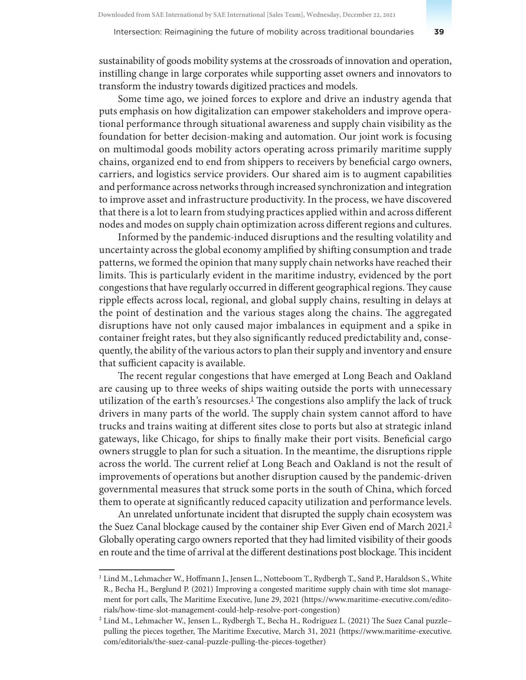sustainability of goods mobility systems at the crossroads of innovation and operation, instilling change in large corporates while supporting asset owners and innovators to transform the industry towards digitized practices and models.

Some time ago, we joined forces to explore and drive an industry agenda that puts emphasis on how digitalization can empower stakeholders and improve operational performance through situational awareness and supply chain visibility as the foundation for better decision-making and automation. Our joint work is focusing on multimodal goods mobility actors operating across primarily maritime supply chains, organized end to end from shippers to receivers by beneficial cargo owners, carriers, and logistics service providers. Our shared aim is to augment capabilities and performance across networks through increased synchronization and integration to improve asset and infrastructure productivity. In the process, we have discovered that there is a lot to learn from studying practices applied within and across different nodes and modes on supply chain optimization across different regions and cultures.

Informed by the pandemic-induced disruptions and the resulting volatility and uncertainty across the global economy amplified by shifting consumption and trade patterns, we formed the opinion that many supply chain networks have reached their limits. This is particularly evident in the maritime industry, evidenced by the port congestions that have regularly occurred in different geographical regions. They cause ripple effects across local, regional, and global supply chains, resulting in delays at the point of destination and the various stages along the chains. The aggregated disruptions have not only caused major imbalances in equipment and a spike in container freight rates, but they also significantly reduced predictability and, consequently, the ability of the various actors to plan their supply and inventory and ensure that sufficient capacity is available.

The recent regular congestions that have emerged at Long Beach and Oakland are causing up to three weeks of ships waiting outside the ports with unnecessary utilization of the earth's resourcses.<sup>1</sup> The congestions also amplify the lack of truck drivers in many parts of the world. The supply chain system cannot afford to have trucks and trains waiting at different sites close to ports but also at strategic inland gateways, like Chicago, for ships to finally make their port visits. Beneficial cargo owners struggle to plan for such a situation. In the meantime, the disruptions ripple across the world. The current relief at Long Beach and Oakland is not the result of improvements of operations but another disruption caused by the pandemic-driven governmental measures that struck some ports in the south of China, which forced them to operate at significantly reduced capacity utilization and performance levels.

An unrelated unfortunate incident that disrupted the supply chain ecosystem was the Suez Canal blockage caused by the container ship Ever Given end of March 2021.<sup>2</sup> Globally operating cargo owners reported that they had limited visibility of their goods en route and the time of arrival at the different destinations post blockage. This incident

<sup>1</sup> Lind M., Lehmacher W., Hoffmann J., Jensen L., Notteboom T., Rydbergh T., Sand P., Haraldson S., White R., Becha H., Berglund P. (2021) Improving a congested maritime supply chain with time slot management for port calls, The Maritime Executive, June 29, 2021 (https://www.maritime-executive.com/editorials/how-time-slot-management-could-help-resolve-port-congestion)

<sup>2</sup> Lind M., Lehmacher W., Jensen L., Rydbergh T., Becha H., Rodriguez L. (2021) The Suez Canal puzzle– pulling the pieces together, The Maritime Executive, March 31, 2021 (https://www.maritime-executive. com/editorials/the-suez-canal-puzzle-pulling-the-pieces-together)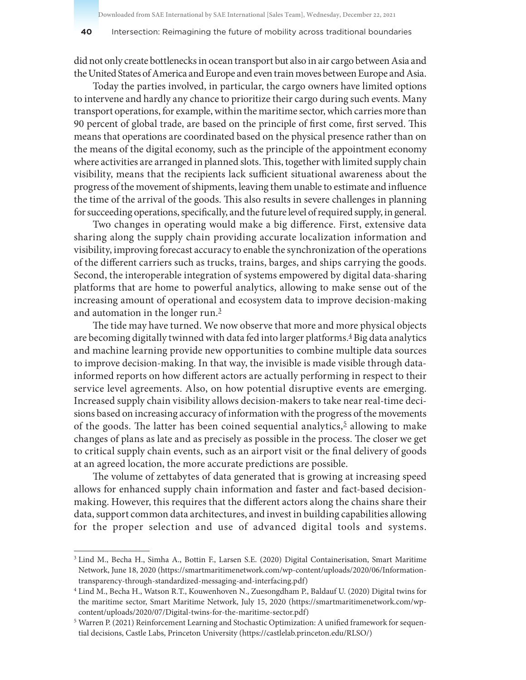### **40** Intersection: Reimagining the future of mobility across traditional boundaries

did not only create bottlenecks in ocean transport but also in air cargo between Asia and the United States of America and Europe and even train moves between Europe and Asia.

Today the parties involved, in particular, the cargo owners have limited options to intervene and hardly any chance to prioritize their cargo during such events. Many transport operations, for example, within the maritime sector, which carries more than 90 percent of global trade, are based on the principle of first come, first served. This means that operations are coordinated based on the physical presence rather than on the means of the digital economy, such as the principle of the appointment economy where activities are arranged in planned slots. This, together with limited supply chain visibility, means that the recipients lack sufficient situational awareness about the progress of the movement of shipments, leaving them unable to estimate and influence the time of the arrival of the goods. This also results in severe challenges in planning for succeeding operations, specifically, and the future level of required supply, in general.

Two changes in operating would make a big difference. First, extensive data sharing along the supply chain providing accurate localization information and visibility, improving forecast accuracy to enable the synchronization of the operations of the different carriers such as trucks, trains, barges, and ships carrying the goods. Second, the interoperable integration of systems empowered by digital data-sharing platforms that are home to powerful analytics, allowing to make sense out of the increasing amount of operational and ecosystem data to improve decision-making and automation in the longer run. $3$ 

The tide may have turned. We now observe that more and more physical objects are becoming digitally twinned with data fed into larger platforms. $^4$  Big data analytics and machine learning provide new opportunities to combine multiple data sources to improve decision-making. In that way, the invisible is made visible through datainformed reports on how different actors are actually performing in respect to their service level agreements. Also, on how potential disruptive events are emerging. Increased supply chain visibility allows decision-makers to take near real-time decisions based on increasing accuracy of information with the progress of the movements of the goods. The latter has been coined sequential analytics,<sup>5</sup> allowing to make changes of plans as late and as precisely as possible in the process. The closer we get to critical supply chain events, such as an airport visit or the final delivery of goods at an agreed location, the more accurate predictions are possible.

The volume of zettabytes of data generated that is growing at increasing speed allows for enhanced supply chain information and faster and fact-based decisionmaking. However, this requires that the different actors along the chains share their data, support common data architectures, and invest in building capabilities allowing for the proper selection and use of advanced digital tools and systems.

<sup>3</sup> Lind M., Becha H., Simha A., Bottin F., Larsen S.E. (2020) Digital Containerisation, Smart Maritime Network, June 18, 2020 (https://smartmaritimenetwork.com/wp-content/uploads/2020/06/Informationtransparency-through-standardized-messaging-and-interfacing.pdf)

<sup>4</sup> Lind M., Becha H., Watson R.T., Kouwenhoven N., Zuesongdham P., Baldauf U. (2020) Digital twins for the maritime sector, Smart Maritime Network, July 15, 2020 (https://smartmaritimenetwork.com/wpcontent/uploads/2020/07/Digital-twins-for-the-maritime-sector.pdf)

<sup>5</sup> Warren P. (2021) Reinforcement Learning and Stochastic Optimization: A unified framework for sequential decisions, Castle Labs, Princeton University (https://castlelab.princeton.edu/RLSO/)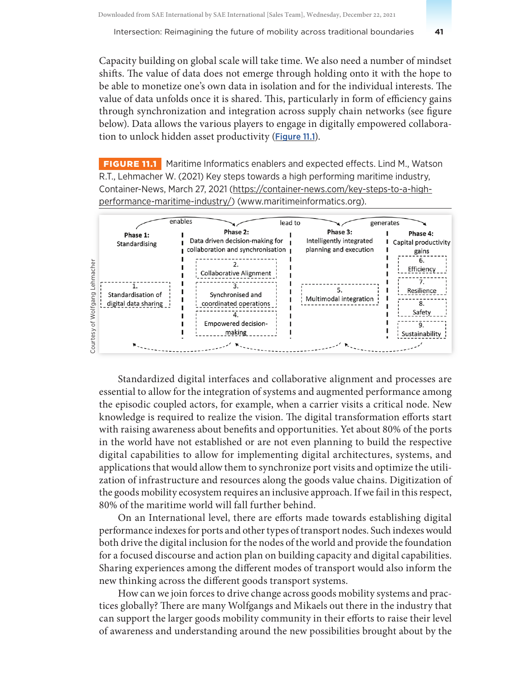Capacity building on global scale will take time. We also need a number of mindset shifts. The value of data does not emerge through holding onto it with the hope to be able to monetize one's own data in isolation and for the individual interests. The value of data unfolds once it is shared. This, particularly in form of efficiency gains through synchronization and integration across supply chain networks (see figure below). Data allows the various players to engage in digitally empowered collaboration to unlock hidden asset productivity (**Figure 11.1**).

**FIGURE 11.1** Maritime Informatics enablers and expected effects. Lind M., Watson R.T., Lehmacher W. (2021) Key steps towards a high performing maritime industry, Container-News, March 27, 2021 (https://container-news.com/key-steps-to-a-highperformance-maritime-industry/) (www.maritimeinformatics.org).

|                                                                     |                                                  | enables                                                                                                   | lead to                                                        | generates                                                  |
|---------------------------------------------------------------------|--------------------------------------------------|-----------------------------------------------------------------------------------------------------------|----------------------------------------------------------------|------------------------------------------------------------|
| ω<br>등<br>ত্ৰ<br>g<br>Wolfga<br>$\overline{\sigma}$<br>ି<br>Courtes | Phase 1:<br>Standardising                        | Phase 2:<br>Data driven decision-making for<br>collaboration and synchronisation                          | Phase 3:<br>Intelligently integrated<br>planning and execution | Phase 4:<br>Capital productivity<br>gains                  |
|                                                                     | 1.<br>Standardisation of<br>digital data sharing | <b>Collaborative Alignment</b><br>3.<br>Synchronised and<br>coordinated operations<br>Empowered decision- | Multimodal integration                                         | 6.<br>Efficiency<br>7.<br>Resilience<br>8.<br>Safety<br>9. |
|                                                                     |                                                  | making                                                                                                    |                                                                | Sustainability                                             |

Standardized digital interfaces and collaborative alignment and processes are essential to allow for the integration of systems and augmented performance among the episodic coupled actors, for example, when a carrier visits a critical node. New knowledge is required to realize the vision. The digital transformation efforts start with raising awareness about benefits and opportunities. Yet about 80% of the ports in the world have not established or are not even planning to build the respective digital capabilities to allow for implementing digital architectures, systems, and applications that would allow them to synchronize port visits and optimize the utilization of infrastructure and resources along the goods value chains. Digitization of the goods mobility ecosystem requires an inclusive approach. If we fail in this respect, 80% of the maritime world will fall further behind.

On an International level, there are efforts made towards establishing digital performance indexes for ports and other types of transport nodes. Such indexes would both drive the digital inclusion for the nodes of the world and provide the foundation for a focused discourse and action plan on building capacity and digital capabilities. Sharing experiences among the different modes of transport would also inform the new thinking across the different goods transport systems.

How can we join forces to drive change across goods mobility systems and practices globally? There are many Wolfgangs and Mikaels out there in the industry that can support the larger goods mobility community in their efforts to raise their level of awareness and understanding around the new possibilities brought about by the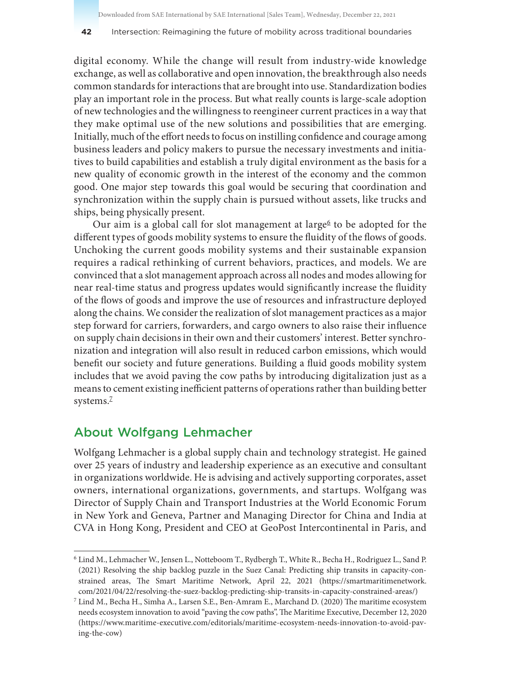digital economy. While the change will result from industry-wide knowledge exchange, as well as collaborative and open innovation, the breakthrough also needs common standards for interactions that are brought into use. Standardization bodies play an important role in the process. But what really counts is large-scale adoption of new technologies and the willingness to reengineer current practices in a way that they make optimal use of the new solutions and possibilities that are emerging. Initially, much of the effort needs to focus on instilling confidence and courage among business leaders and policy makers to pursue the necessary investments and initiatives to build capabilities and establish a truly digital environment as the basis for a new quality of economic growth in the interest of the economy and the common good. One major step towards this goal would be securing that coordination and synchronization within the supply chain is pursued without assets, like trucks and ships, being physically present.

Our aim is a global call for slot management at large<sup>6</sup> to be adopted for the different types of goods mobility systems to ensure the fluidity of the flows of goods. Unchoking the current goods mobility systems and their sustainable expansion requires a radical rethinking of current behaviors, practices, and models. We are convinced that a slot management approach across all nodes and modes allowing for near real-time status and progress updates would significantly increase the fluidity of the flows of goods and improve the use of resources and infrastructure deployed along the chains. We consider the realization of slot management practices as a major step forward for carriers, forwarders, and cargo owners to also raise their influence on supply chain decisions in their own and their customers' interest. Better synchronization and integration will also result in reduced carbon emissions, which would benefit our society and future generations. Building a fluid goods mobility system includes that we avoid paving the cow paths by introducing digitalization just as a means to cement existing inefficient patterns of operations rather than building better systems.<sup>2</sup>

### About Wolfgang Lehmacher

Wolfgang Lehmacher is a global supply chain and technology strategist. He gained over 25 years of industry and leadership experience as an executive and consultant in organizations worldwide. He is advising and actively supporting corporates, asset owners, international organizations, governments, and startups. Wolfgang was Director of Supply Chain and Transport Industries at the World Economic Forum in New York and Geneva, Partner and Managing Director for China and India at CVA in Hong Kong, President and CEO at GeoPost Intercontinental in Paris, and

<sup>6</sup> Lind M., Lehmacher W., Jensen L., Notteboom T., Rydbergh T., White R., Becha H., Rodriguez L., Sand P. (2021) Resolving the ship backlog puzzle in the Suez Canal: Predicting ship transits in capacity-constrained areas, The Smart Maritime Network, April 22, 2021 (https://smartmaritimenetwork. com/2021/04/22/resolving-the-suez-backlog-predicting-ship-transits-in-capacity-constrained-areas/)

<sup>7</sup> Lind M., Becha H., Simha A., Larsen S.E., Ben-Amram E., Marchand D. (2020) The maritime ecosystem needs ecosystem innovation to avoid "paving the cow paths", The Maritime Executive, December 12, 2020 (https://www.maritime-executive.com/editorials/maritime-ecosystem-needs-innovation-to-avoid-paving-the-cow)